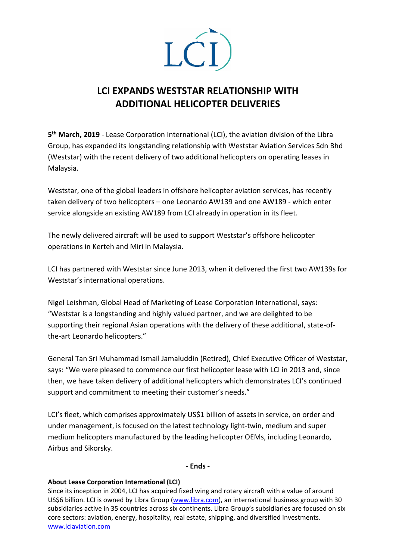

## **LCI EXPANDS WESTSTAR RELATIONSHIP WITH ADDITIONAL HELICOPTER DELIVERIES**

**5th March, 2019** - Lease Corporation International (LCI), the aviation division of the Libra Group, has expanded its longstanding relationship with Weststar Aviation Services Sdn Bhd (Weststar) with the recent delivery of two additional helicopters on operating leases in Malaysia.

Weststar, one of the global leaders in offshore helicopter aviation services, has recently taken delivery of two helicopters – one Leonardo AW139 and one AW189 - which enter service alongside an existing AW189 from LCI already in operation in its fleet.

The newly delivered aircraft will be used to support Weststar's offshore helicopter operations in Kerteh and Miri in Malaysia.

LCI has partnered with Weststar since June 2013, when it delivered the first two AW139s for Weststar's international operations.

Nigel Leishman, Global Head of Marketing of Lease Corporation International, says: "Weststar is a longstanding and highly valued partner, and we are delighted to be supporting their regional Asian operations with the delivery of these additional, state-ofthe-art Leonardo helicopters."

General Tan Sri Muhammad Ismail Jamaluddin (Retired), Chief Executive Officer of Weststar, says: "We were pleased to commence our first helicopter lease with LCI in 2013 and, since then, we have taken delivery of additional helicopters which demonstrates LCI's continued support and commitment to meeting their customer's needs."

LCI's fleet, which comprises approximately US\$1 billion of assets in service, on order and under management, is focused on the latest technology light-twin, medium and super medium helicopters manufactured by the leading helicopter OEMs, including Leonardo, Airbus and Sikorsky.

**- Ends -**

## **About Lease Corporation International (LCI)**

Since its inception in 2004, LCI has acquired fixed wing and rotary aircraft with a value of around US\$6 billion. LCI is owned by Libra Group [\(www.libra.com\)](http://www.libra.com/), an international business group with 30 subsidiaries active in 35 countries across six continents. Libra Group's subsidiaries are focused on six core sectors: aviation, energy, hospitality, real estate, shipping, and diversified investments. [www.lciaviation.com](http://www.lciaviation.com/)